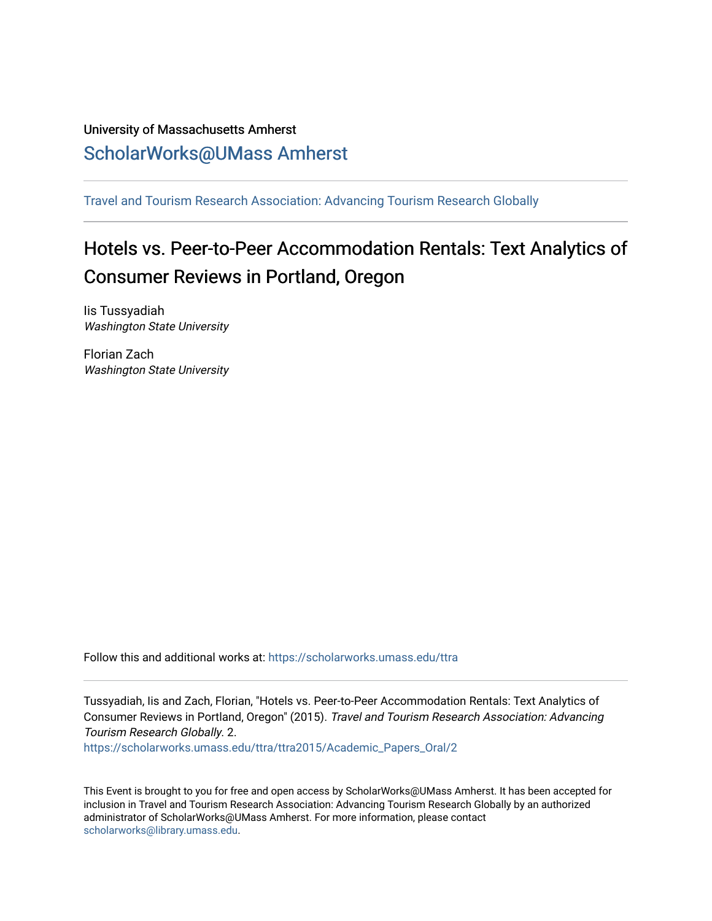## University of Massachusetts Amherst [ScholarWorks@UMass Amherst](https://scholarworks.umass.edu/)

[Travel and Tourism Research Association: Advancing Tourism Research Globally](https://scholarworks.umass.edu/ttra) 

# Hotels vs. Peer-to-Peer Accommodation Rentals: Text Analytics of Consumer Reviews in Portland, Oregon

Iis Tussyadiah Washington State University

Florian Zach Washington State University

Follow this and additional works at: [https://scholarworks.umass.edu/ttra](https://scholarworks.umass.edu/ttra?utm_source=scholarworks.umass.edu%2Fttra%2Fttra2015%2FAcademic_Papers_Oral%2F2&utm_medium=PDF&utm_campaign=PDFCoverPages)

Tussyadiah, Iis and Zach, Florian, "Hotels vs. Peer-to-Peer Accommodation Rentals: Text Analytics of Consumer Reviews in Portland, Oregon" (2015). Travel and Tourism Research Association: Advancing Tourism Research Globally. 2.

[https://scholarworks.umass.edu/ttra/ttra2015/Academic\\_Papers\\_Oral/2](https://scholarworks.umass.edu/ttra/ttra2015/Academic_Papers_Oral/2?utm_source=scholarworks.umass.edu%2Fttra%2Fttra2015%2FAcademic_Papers_Oral%2F2&utm_medium=PDF&utm_campaign=PDFCoverPages)

This Event is brought to you for free and open access by ScholarWorks@UMass Amherst. It has been accepted for inclusion in Travel and Tourism Research Association: Advancing Tourism Research Globally by an authorized administrator of ScholarWorks@UMass Amherst. For more information, please contact [scholarworks@library.umass.edu.](mailto:scholarworks@library.umass.edu)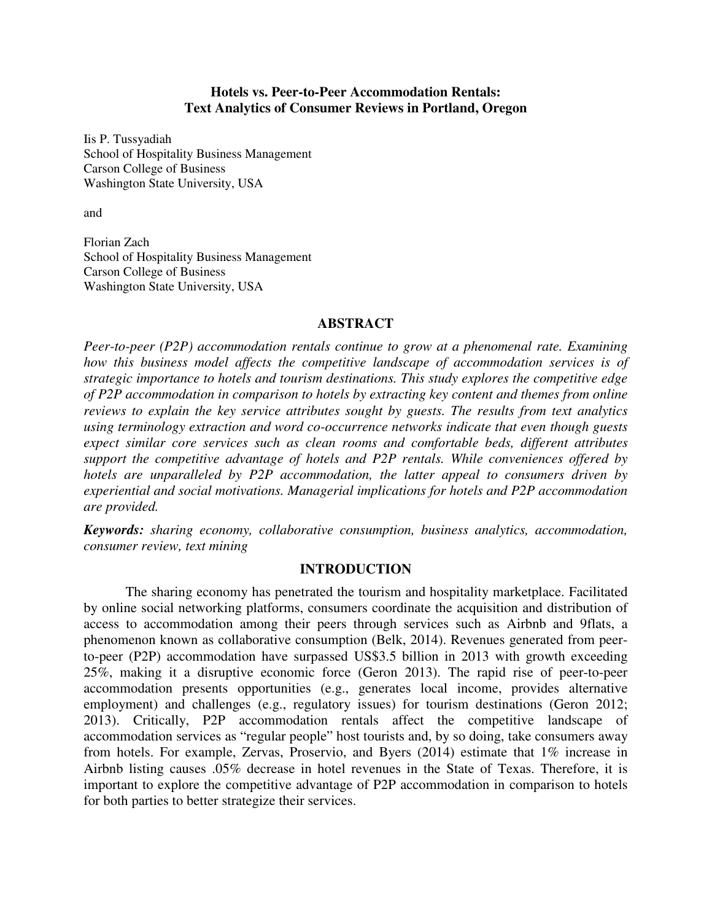#### **Hotels vs. Peer-to-Peer Accommodation Rentals: Text Analytics of Consumer Reviews in Portland, Oregon**

Iis P. Tussyadiah School of Hospitality Business Management Carson College of Business Washington State University, USA

and

Florian Zach School of Hospitality Business Management Carson College of Business Washington State University, USA

#### **ABSTRACT**

*Peer-to-peer (P2P) accommodation rentals continue to grow at a phenomenal rate. Examining how this business model affects the competitive landscape of accommodation services is of strategic importance to hotels and tourism destinations. This study explores the competitive edge of P2P accommodation in comparison to hotels by extracting key content and themes from online reviews to explain the key service attributes sought by guests. The results from text analytics using terminology extraction and word co-occurrence networks indicate that even though guests expect similar core services such as clean rooms and comfortable beds, different attributes support the competitive advantage of hotels and P2P rentals. While conveniences offered by hotels are unparalleled by P2P accommodation, the latter appeal to consumers driven by experiential and social motivations. Managerial implications for hotels and P2P accommodation are provided.* 

*Keywords: sharing economy, collaborative consumption, business analytics, accommodation, consumer review, text mining* 

#### **INTRODUCTION**

The sharing economy has penetrated the tourism and hospitality marketplace. Facilitated by online social networking platforms, consumers coordinate the acquisition and distribution of access to accommodation among their peers through services such as Airbnb and 9flats, a phenomenon known as collaborative consumption (Belk, 2014). Revenues generated from peerto-peer (P2P) accommodation have surpassed US\$3.5 billion in 2013 with growth exceeding 25%, making it a disruptive economic force (Geron 2013). The rapid rise of peer-to-peer accommodation presents opportunities (e.g., generates local income, provides alternative employment) and challenges (e.g., regulatory issues) for tourism destinations (Geron 2012; 2013). Critically, P2P accommodation rentals affect the competitive landscape of accommodation services as "regular people" host tourists and, by so doing, take consumers away from hotels. For example, Zervas, Proservio, and Byers (2014) estimate that 1% increase in Airbnb listing causes .05% decrease in hotel revenues in the State of Texas. Therefore, it is important to explore the competitive advantage of P2P accommodation in comparison to hotels for both parties to better strategize their services.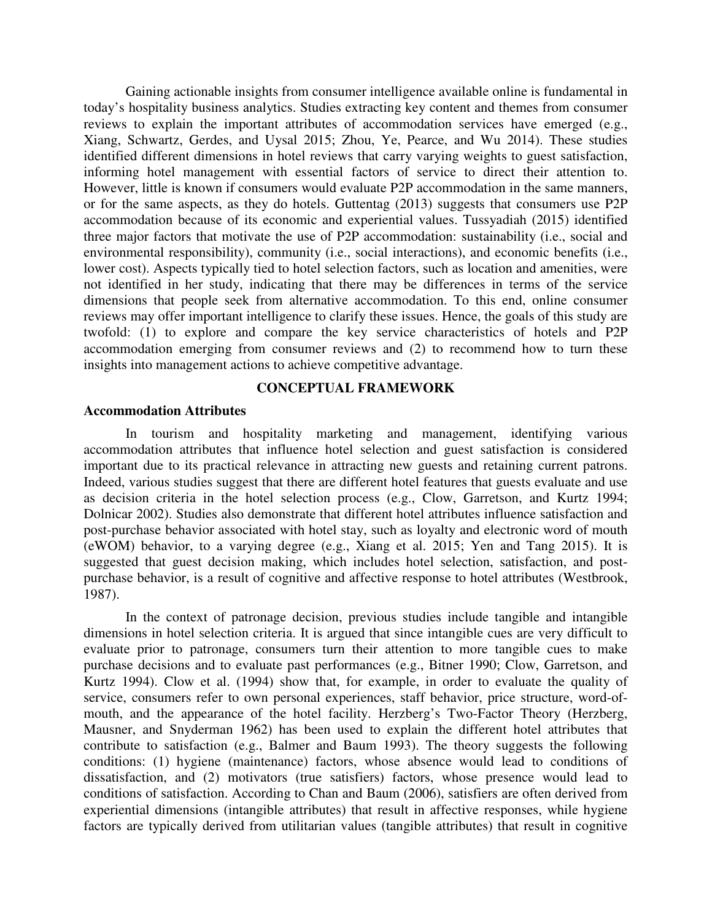Gaining actionable insights from consumer intelligence available online is fundamental in today's hospitality business analytics. Studies extracting key content and themes from consumer reviews to explain the important attributes of accommodation services have emerged (e.g., Xiang, Schwartz, Gerdes, and Uysal 2015; Zhou, Ye, Pearce, and Wu 2014). These studies identified different dimensions in hotel reviews that carry varying weights to guest satisfaction, informing hotel management with essential factors of service to direct their attention to. However, little is known if consumers would evaluate P2P accommodation in the same manners, or for the same aspects, as they do hotels. Guttentag (2013) suggests that consumers use P2P accommodation because of its economic and experiential values. Tussyadiah (2015) identified three major factors that motivate the use of P2P accommodation: sustainability (i.e., social and environmental responsibility), community (i.e., social interactions), and economic benefits (i.e., lower cost). Aspects typically tied to hotel selection factors, such as location and amenities, were not identified in her study, indicating that there may be differences in terms of the service dimensions that people seek from alternative accommodation. To this end, online consumer reviews may offer important intelligence to clarify these issues. Hence, the goals of this study are twofold: (1) to explore and compare the key service characteristics of hotels and P2P accommodation emerging from consumer reviews and (2) to recommend how to turn these insights into management actions to achieve competitive advantage.

#### **CONCEPTUAL FRAMEWORK**

#### **Accommodation Attributes**

In tourism and hospitality marketing and management, identifying various accommodation attributes that influence hotel selection and guest satisfaction is considered important due to its practical relevance in attracting new guests and retaining current patrons. Indeed, various studies suggest that there are different hotel features that guests evaluate and use as decision criteria in the hotel selection process (e.g., Clow, Garretson, and Kurtz 1994; Dolnicar 2002). Studies also demonstrate that different hotel attributes influence satisfaction and post-purchase behavior associated with hotel stay, such as loyalty and electronic word of mouth (eWOM) behavior, to a varying degree (e.g., Xiang et al. 2015; Yen and Tang 2015). It is suggested that guest decision making, which includes hotel selection, satisfaction, and postpurchase behavior, is a result of cognitive and affective response to hotel attributes (Westbrook, 1987).

In the context of patronage decision, previous studies include tangible and intangible dimensions in hotel selection criteria. It is argued that since intangible cues are very difficult to evaluate prior to patronage, consumers turn their attention to more tangible cues to make purchase decisions and to evaluate past performances (e.g., Bitner 1990; Clow, Garretson, and Kurtz 1994). Clow et al. (1994) show that, for example, in order to evaluate the quality of service, consumers refer to own personal experiences, staff behavior, price structure, word-ofmouth, and the appearance of the hotel facility. Herzberg's Two-Factor Theory (Herzberg, Mausner, and Snyderman 1962) has been used to explain the different hotel attributes that contribute to satisfaction (e.g., Balmer and Baum 1993). The theory suggests the following conditions: (1) hygiene (maintenance) factors, whose absence would lead to conditions of dissatisfaction, and (2) motivators (true satisfiers) factors, whose presence would lead to conditions of satisfaction. According to Chan and Baum (2006), satisfiers are often derived from experiential dimensions (intangible attributes) that result in affective responses, while hygiene factors are typically derived from utilitarian values (tangible attributes) that result in cognitive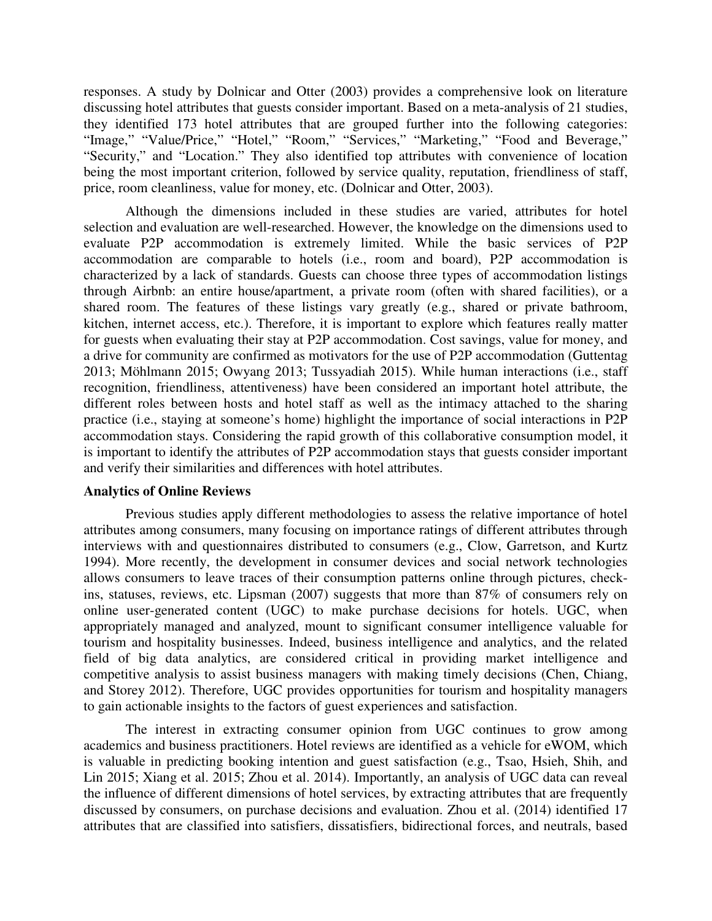responses. A study by Dolnicar and Otter (2003) provides a comprehensive look on literature discussing hotel attributes that guests consider important. Based on a meta-analysis of 21 studies, they identified 173 hotel attributes that are grouped further into the following categories: "Image," "Value/Price," "Hotel," "Room," "Services," "Marketing," "Food and Beverage," "Security," and "Location." They also identified top attributes with convenience of location being the most important criterion, followed by service quality, reputation, friendliness of staff, price, room cleanliness, value for money, etc. (Dolnicar and Otter, 2003).

Although the dimensions included in these studies are varied, attributes for hotel selection and evaluation are well-researched. However, the knowledge on the dimensions used to evaluate P2P accommodation is extremely limited. While the basic services of P2P accommodation are comparable to hotels (i.e., room and board), P2P accommodation is characterized by a lack of standards. Guests can choose three types of accommodation listings through Airbnb: an entire house/apartment, a private room (often with shared facilities), or a shared room. The features of these listings vary greatly (e.g., shared or private bathroom, kitchen, internet access, etc.). Therefore, it is important to explore which features really matter for guests when evaluating their stay at P2P accommodation. Cost savings, value for money, and a drive for community are confirmed as motivators for the use of P2P accommodation (Guttentag 2013; Möhlmann 2015; Owyang 2013; Tussyadiah 2015). While human interactions (i.e., staff recognition, friendliness, attentiveness) have been considered an important hotel attribute, the different roles between hosts and hotel staff as well as the intimacy attached to the sharing practice (i.e., staying at someone's home) highlight the importance of social interactions in P2P accommodation stays. Considering the rapid growth of this collaborative consumption model, it is important to identify the attributes of P2P accommodation stays that guests consider important and verify their similarities and differences with hotel attributes.

#### **Analytics of Online Reviews**

Previous studies apply different methodologies to assess the relative importance of hotel attributes among consumers, many focusing on importance ratings of different attributes through interviews with and questionnaires distributed to consumers (e.g., Clow, Garretson, and Kurtz 1994). More recently, the development in consumer devices and social network technologies allows consumers to leave traces of their consumption patterns online through pictures, checkins, statuses, reviews, etc. Lipsman (2007) suggests that more than 87% of consumers rely on online user-generated content (UGC) to make purchase decisions for hotels. UGC, when appropriately managed and analyzed, mount to significant consumer intelligence valuable for tourism and hospitality businesses. Indeed, business intelligence and analytics, and the related field of big data analytics, are considered critical in providing market intelligence and competitive analysis to assist business managers with making timely decisions (Chen, Chiang, and Storey 2012). Therefore, UGC provides opportunities for tourism and hospitality managers to gain actionable insights to the factors of guest experiences and satisfaction.

 The interest in extracting consumer opinion from UGC continues to grow among academics and business practitioners. Hotel reviews are identified as a vehicle for eWOM, which is valuable in predicting booking intention and guest satisfaction (e.g., Tsao, Hsieh, Shih, and Lin 2015; Xiang et al. 2015; Zhou et al. 2014). Importantly, an analysis of UGC data can reveal the influence of different dimensions of hotel services, by extracting attributes that are frequently discussed by consumers, on purchase decisions and evaluation. Zhou et al. (2014) identified 17 attributes that are classified into satisfiers, dissatisfiers, bidirectional forces, and neutrals, based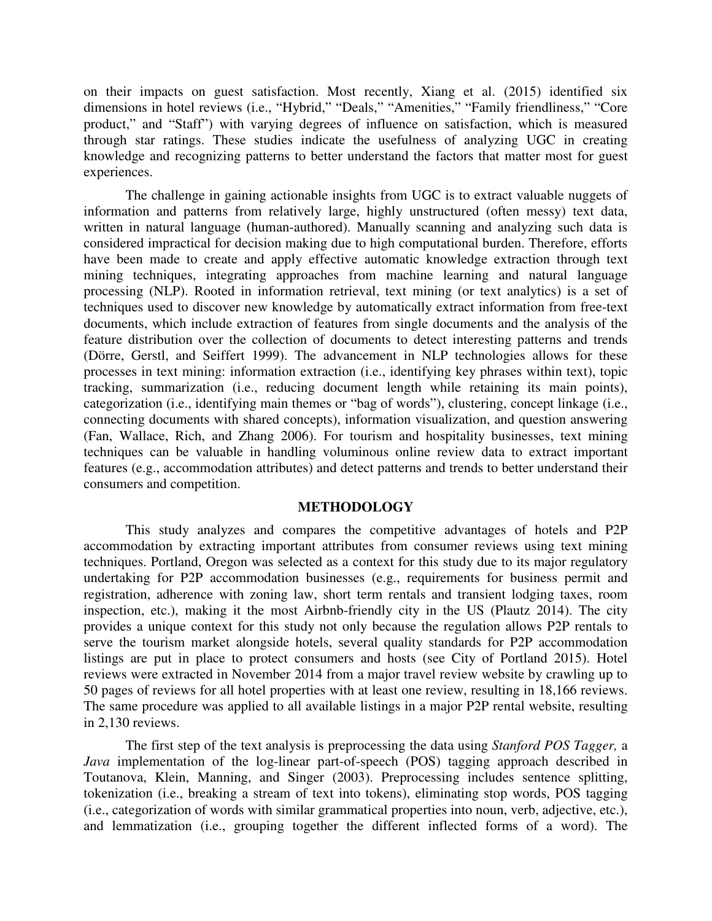on their impacts on guest satisfaction. Most recently, Xiang et al. (2015) identified six dimensions in hotel reviews (i.e., "Hybrid," "Deals," "Amenities," "Family friendliness," "Core product," and "Staff") with varying degrees of influence on satisfaction, which is measured through star ratings. These studies indicate the usefulness of analyzing UGC in creating knowledge and recognizing patterns to better understand the factors that matter most for guest experiences.

The challenge in gaining actionable insights from UGC is to extract valuable nuggets of information and patterns from relatively large, highly unstructured (often messy) text data, written in natural language (human-authored). Manually scanning and analyzing such data is considered impractical for decision making due to high computational burden. Therefore, efforts have been made to create and apply effective automatic knowledge extraction through text mining techniques, integrating approaches from machine learning and natural language processing (NLP). Rooted in information retrieval, text mining (or text analytics) is a set of techniques used to discover new knowledge by automatically extract information from free-text documents, which include extraction of features from single documents and the analysis of the feature distribution over the collection of documents to detect interesting patterns and trends (Dörre, Gerstl, and Seiffert 1999). The advancement in NLP technologies allows for these processes in text mining: information extraction (i.e., identifying key phrases within text), topic tracking, summarization (i.e., reducing document length while retaining its main points), categorization (i.e., identifying main themes or "bag of words"), clustering, concept linkage (i.e., connecting documents with shared concepts), information visualization, and question answering (Fan, Wallace, Rich, and Zhang 2006). For tourism and hospitality businesses, text mining techniques can be valuable in handling voluminous online review data to extract important features (e.g., accommodation attributes) and detect patterns and trends to better understand their consumers and competition.

#### **METHODOLOGY**

This study analyzes and compares the competitive advantages of hotels and P2P accommodation by extracting important attributes from consumer reviews using text mining techniques. Portland, Oregon was selected as a context for this study due to its major regulatory undertaking for P2P accommodation businesses (e.g., requirements for business permit and registration, adherence with zoning law, short term rentals and transient lodging taxes, room inspection, etc.), making it the most Airbnb-friendly city in the US (Plautz 2014). The city provides a unique context for this study not only because the regulation allows P2P rentals to serve the tourism market alongside hotels, several quality standards for P2P accommodation listings are put in place to protect consumers and hosts (see City of Portland 2015). Hotel reviews were extracted in November 2014 from a major travel review website by crawling up to 50 pages of reviews for all hotel properties with at least one review, resulting in 18,166 reviews. The same procedure was applied to all available listings in a major P2P rental website, resulting in 2,130 reviews.

The first step of the text analysis is preprocessing the data using *Stanford POS Tagger,* a *Java* implementation of the log-linear part-of-speech (POS) tagging approach described in Toutanova, Klein, Manning, and Singer (2003). Preprocessing includes sentence splitting, tokenization (i.e., breaking a stream of text into tokens), eliminating stop words, POS tagging (i.e., categorization of words with similar grammatical properties into noun, verb, adjective, etc.), and lemmatization (i.e., grouping together the different inflected forms of a word). The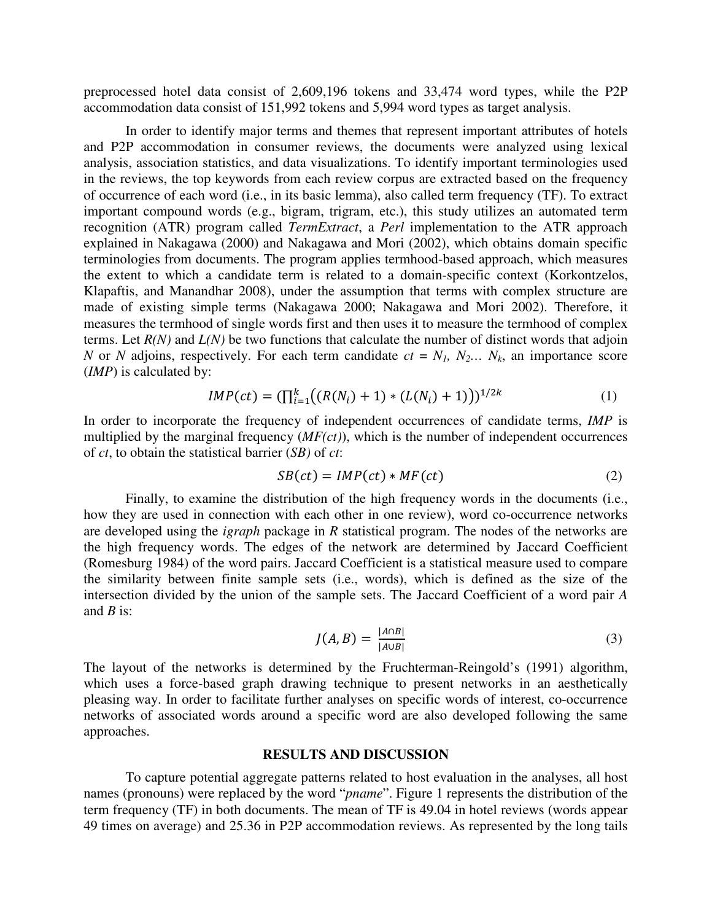preprocessed hotel data consist of 2,609,196 tokens and 33,474 word types, while the P2P accommodation data consist of 151,992 tokens and 5,994 word types as target analysis.

In order to identify major terms and themes that represent important attributes of hotels and P2P accommodation in consumer reviews, the documents were analyzed using lexical analysis, association statistics, and data visualizations. To identify important terminologies used in the reviews, the top keywords from each review corpus are extracted based on the frequency of occurrence of each word (i.e., in its basic lemma), also called term frequency (TF). To extract important compound words (e.g., bigram, trigram, etc.), this study utilizes an automated term recognition (ATR) program called *TermExtract*, a *Perl* implementation to the ATR approach explained in Nakagawa (2000) and Nakagawa and Mori (2002), which obtains domain specific terminologies from documents. The program applies termhood-based approach, which measures the extent to which a candidate term is related to a domain-specific context (Korkontzelos, Klapaftis, and Manandhar 2008), under the assumption that terms with complex structure are made of existing simple terms (Nakagawa 2000; Nakagawa and Mori 2002). Therefore, it measures the termhood of single words first and then uses it to measure the termhood of complex terms. Let  $R(N)$  and  $L(N)$  be two functions that calculate the number of distinct words that adjoin *N* or *N* adjoins, respectively. For each term candidate  $ct = N_1, N_2, N_k$ , an importance score (*IMP*) is calculated by:

$$
IMP(ct) = (\prod_{i=1}^{k} \bigl( (R(N_i) + 1) * (L(N_i) + 1) \bigr))^{1/2k}
$$
 (1)

In order to incorporate the frequency of independent occurrences of candidate terms, *IMP* is multiplied by the marginal frequency (*MF(ct)*), which is the number of independent occurrences of *ct*, to obtain the statistical barrier (*SB)* of *ct*:

$$
SB(ct) = IMP(ct) * MF(ct)
$$
 (2)

Finally, to examine the distribution of the high frequency words in the documents (i.e., how they are used in connection with each other in one review), word co-occurrence networks are developed using the *igraph* package in *R* statistical program. The nodes of the networks are the high frequency words. The edges of the network are determined by Jaccard Coefficient (Romesburg 1984) of the word pairs. Jaccard Coefficient is a statistical measure used to compare the similarity between finite sample sets (i.e., words), which is defined as the size of the intersection divided by the union of the sample sets. The Jaccard Coefficient of a word pair *A* and *B* is:

$$
J(A,B) = \frac{|A \cap B|}{|A \cup B|} \tag{3}
$$

The layout of the networks is determined by the Fruchterman-Reingold's (1991) algorithm, which uses a force-based graph drawing technique to present networks in an aesthetically pleasing way. In order to facilitate further analyses on specific words of interest, co-occurrence networks of associated words around a specific word are also developed following the same approaches.

#### **RESULTS AND DISCUSSION**

To capture potential aggregate patterns related to host evaluation in the analyses, all host names (pronouns) were replaced by the word "*pname*". Figure 1 represents the distribution of the term frequency (TF) in both documents. The mean of TF is 49.04 in hotel reviews (words appear 49 times on average) and 25.36 in P2P accommodation reviews. As represented by the long tails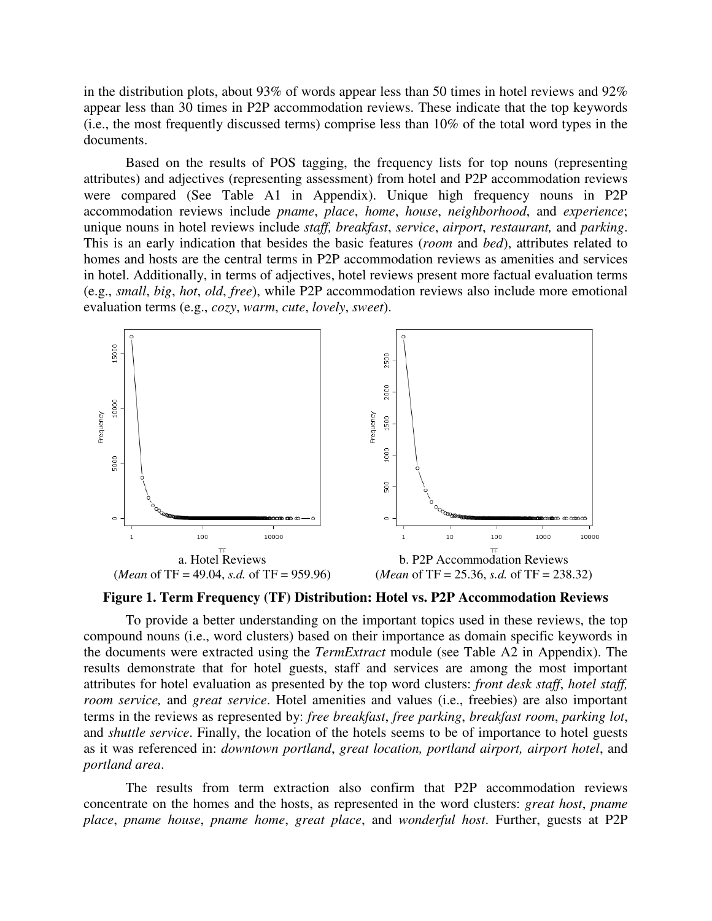in the distribution plots, about 93% of words appear less than 50 times in hotel reviews and 92% appear less than 30 times in P2P accommodation reviews. These indicate that the top keywords (i.e., the most frequently discussed terms) comprise less than 10% of the total word types in the documents.

Based on the results of POS tagging, the frequency lists for top nouns (representing attributes) and adjectives (representing assessment) from hotel and P2P accommodation reviews were compared (See Table A1 in Appendix). Unique high frequency nouns in P2P accommodation reviews include *pname*, *place*, *home*, *house*, *neighborhood*, and *experience*; unique nouns in hotel reviews include *staff, breakfast*, *service*, *airport*, *restaurant,* and *parking*. This is an early indication that besides the basic features (*room* and *bed*), attributes related to homes and hosts are the central terms in P2P accommodation reviews as amenities and services in hotel. Additionally, in terms of adjectives, hotel reviews present more factual evaluation terms (e.g., *small*, *big*, *hot*, *old*, *free*), while P2P accommodation reviews also include more emotional evaluation terms (e.g., *cozy*, *warm*, *cute*, *lovely*, *sweet*).



**Figure 1. Term Frequency (TF) Distribution: Hotel vs. P2P Accommodation Reviews** 

To provide a better understanding on the important topics used in these reviews, the top compound nouns (i.e., word clusters) based on their importance as domain specific keywords in the documents were extracted using the *TermExtract* module (see Table A2 in Appendix). The results demonstrate that for hotel guests, staff and services are among the most important attributes for hotel evaluation as presented by the top word clusters: *front desk staff*, *hotel staff, room service,* and *great service*. Hotel amenities and values (i.e., freebies) are also important terms in the reviews as represented by: *free breakfast*, *free parking*, *breakfast room*, *parking lot*, and *shuttle service*. Finally, the location of the hotels seems to be of importance to hotel guests as it was referenced in: *downtown portland*, *great location, portland airport, airport hotel*, and *portland area*.

The results from term extraction also confirm that P2P accommodation reviews concentrate on the homes and the hosts, as represented in the word clusters: *great host*, *pname place*, *pname house*, *pname home*, *great place*, and *wonderful host*. Further, guests at P2P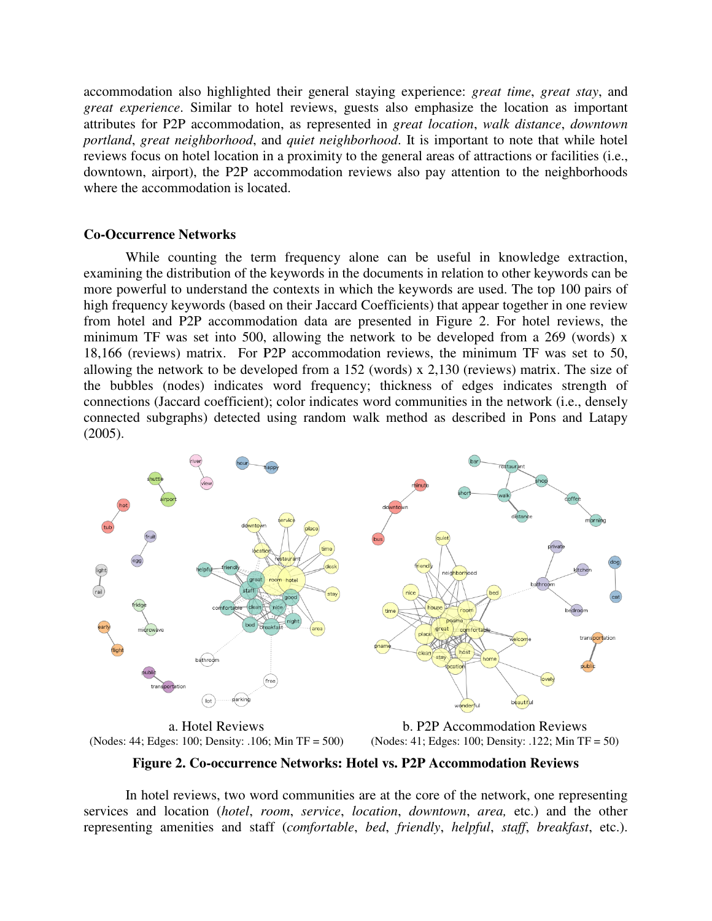accommodation also highlighted their general staying experience: *great time*, *great stay*, and great experience. Similar to hotel reviews, guests also emphasize the location as important great experience. Similar to hotel reviews, guests also emphasize the location as important attributes for P2P accommodation, as represented in *great location*, *walk distance*, *downtown portland*, *great neighborhood*, and *quiet neighborhood*. It is important to note that while hotel reviews focus on hotel location in a proximity to the general areas of attractions or facilities (i.e., downtown, airport), the P2P accommodation reviews also pay attention to the neighborhoods where the accommodation is located. wn, airport), the P2P accommodation reviews also pay attention to the neighborhoods<br>he accommodation is located.<br>**Exerciacy** alone can be useful in knowledge extraction,

#### **Co-Occurrence Networks**

examining the distribution of the keywords in the documents in relation to other keywords can be more powerful to understand the contexts in which the keywords are used. The top 100 pairs of more powerful to understand the contexts in which the keywords are used. The top 100 pairs of high frequency keywords (based on their Jaccard Coefficients) that appear together in one review from hotel and P2P accommodation data are presented in Figure 2. For hotel reviews, the from hotel and P2P accommodation data are presented in Figure 2. For hotel reviews, the minimum TF was set into 500, allowing the network to be developed from a 269 (words) x 18,166 (reviews) matrix. For P2P accommodation reviews, the minimum TF was set to 50, allowing the network to be developed from a  $152$  (words) x  $2,130$  (reviews) matrix. The size of the bubbles (nodes) indicates word frequency; thickness of edges indicates strength of connections (Jaccard coefficient); color indicates word communities in the network (i.e., densely the bubbles (nodes) indicates word frequency; thickness of edges indicates strength of connections (Jaccard coefficient); color indicates word communities in the network (i.e., densely connected subgraphs) detected using r (2005). TF was set into 500, allowing the network to be developed from a 269 eviews) matrix. For P2P accommodation reviews, the minimum TF was the network to be developed from a 152 (words) x 2,130 (reviews) matrix. T ty to the general areas of attractions or facilities (i.e.,<br>on reviews also pay attention to the neighborhoods<br>y alone can be useful in knowledge extraction,<br>n the documents in relation to other keywords can be<br>in which th



a. Hotel Reviews (Nodes: 44; Edges: 100; Density: .106; Min TF = 500) b. P2P Accommodation Reviews (Nodes: 41; Edges: 100; Density: .122; Min TF = 50)

**Figure 2. Co-occurrence Networks: Hotel occurrence Networks: Hotel vs. P2P Accommodation Reviews**

In hotel reviews, two word communities are at the core of the network, one representing services and location (hotel, room, service, location, downtown, area, etc.) and the other representing amenities and staff ( *comfortable*, *bed*, *friendly*, *helpful*, *staff*, *breakfast*, etc.).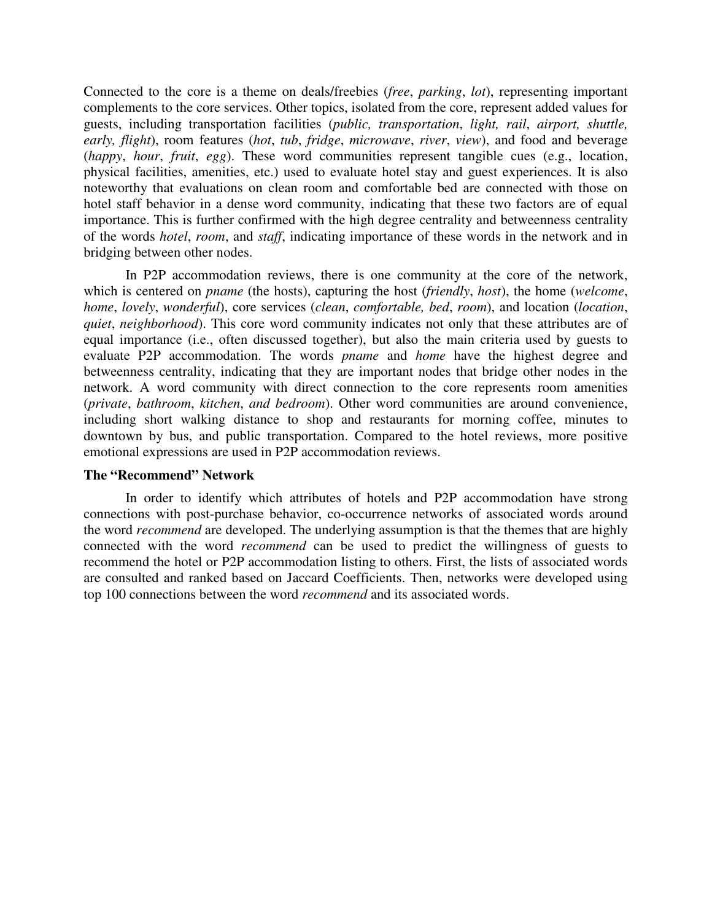Connected to the core is a theme on deals/freebies (*free*, *parking*, *lot*), representing important complements to the core services. Other topics, isolated from the core, represent added values for guests, including transportation facilities (*public, transportation*, *light, rail*, *airport, shuttle, early, flight*), room features (*hot*, *tub*, *fridge*, *microwave*, *river*, *view*), and food and beverage (*happy*, *hour*, *fruit*, *egg*). These word communities represent tangible cues (e.g., location, physical facilities, amenities, etc.) used to evaluate hotel stay and guest experiences. It is also noteworthy that evaluations on clean room and comfortable bed are connected with those on hotel staff behavior in a dense word community, indicating that these two factors are of equal importance. This is further confirmed with the high degree centrality and betweenness centrality of the words *hotel*, *room*, and *staff*, indicating importance of these words in the network and in bridging between other nodes.

In P2P accommodation reviews, there is one community at the core of the network, which is centered on *pname* (the hosts), capturing the host (*friendly*, *host*), the home (*welcome*, *home*, *lovely*, *wonderful*), core services (*clean*, *comfortable, bed*, *room*), and location (*location*, *quiet*, *neighborhood*). This core word community indicates not only that these attributes are of equal importance (i.e., often discussed together), but also the main criteria used by guests to evaluate P2P accommodation. The words *pname* and *home* have the highest degree and betweenness centrality, indicating that they are important nodes that bridge other nodes in the network. A word community with direct connection to the core represents room amenities (*private*, *bathroom*, *kitchen*, *and bedroom*). Other word communities are around convenience, including short walking distance to shop and restaurants for morning coffee, minutes to downtown by bus, and public transportation. Compared to the hotel reviews, more positive emotional expressions are used in P2P accommodation reviews.

#### **The "Recommend" Network**

In order to identify which attributes of hotels and P2P accommodation have strong connections with post-purchase behavior, co-occurrence networks of associated words around the word *recommend* are developed. The underlying assumption is that the themes that are highly connected with the word *recommend* can be used to predict the willingness of guests to recommend the hotel or P2P accommodation listing to others. First, the lists of associated words are consulted and ranked based on Jaccard Coefficients. Then, networks were developed using top 100 connections between the word *recommend* and its associated words.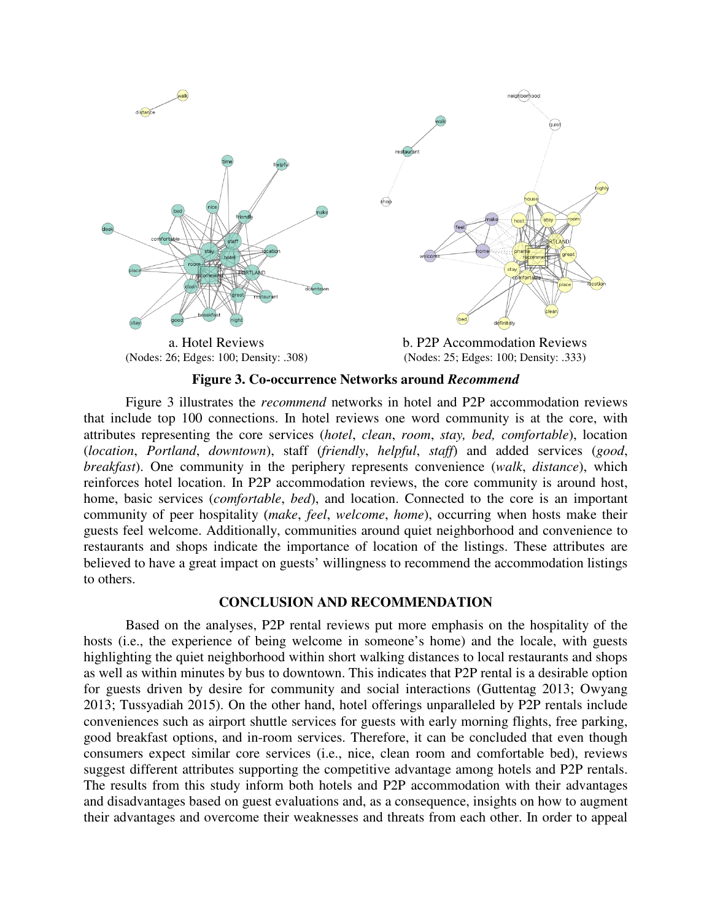

#### **Figure 3. Co . Co-occurrence Networks around** *Recommend*

Figure 3 illustrates the *recommend* networks in hotel and P2P accommodation reviews that include top 100 connections. In hotel reviews one word community is at the core, with attributes representing the core services (hotel, clean, room, stay, bed, comfortable), location (*location*, *Portland*, *downtown*), staff (*friendly*, *helpful*, *staff*) and added services (good, *breakfast*). One community in the periphery represents convenience (walk, distance), which reinforces hotel location. In P2P accommodation reviews, the core community is around host, home, basic services (*comfortable* , *bed*), and location. Connected to the core is an important reinforces hotel location. In P2P accommodation reviews, the core community is around host, home, basic services (*comfortable*, *bed*), and location. Connected to the core is an important community of peer hospitality (*m* guests feel welcome. Additionally, communities around quiet neighborhood and convenience to restaurants and shops indicate the importance of location of the listings. These attributes are believed to have a great impact on guests' willingness to recommend the accommodation listings to others. d and convenience to<br>These attributes are<br>commodation listings<br>the hospitality of the<br>e locale, with guests<br>restaurants and shops

#### **CONCLUSION AND RECOMMENDATION**

Based on the analyses, P2P rental reviews put more emphasis on the hospitality of the hosts (i.e., the experience of being welcome in someone's home) and the locale, with guests highlighting the quiet neighborhood within short walking distances to local restaurants and shops as well as within minutes by bus to downtown. This indicates that P2P rental is a desirable option for guests driven by desire for community and social interactions (Guttentag 2013; Owyang 2013; Tussyadiah 2015). On the other hand, hotel offerings unparalleled by P2P rentals include conveniences such as airport shuttle services for guests with early morning flights, free parking, good breakfast options, and in-room services. Therefore, it can be concluded that ev consumers expect similar core services (i.e., nice, clean room and comfortable bed), reviews suggest different attributes supporting the competitive advantage among hotels and P2P rentals. 2013; Tussyadiah 2015). On the other hand, hotel offerings unparalleled by P2P rentals include<br>conveniences such as airport shuttle services for guests with early morning flights, free parking,<br>good breakfast options, and and disadvantages based on guest evaluations and, as a consequence, insights on how to augment and disadvantages based on guest evaluations and, as a consequence, insights on how to augment<br>their advantages and overcome their weaknesses and threats from each other. In order to appeal and shops indicate the importance of location of the listings. These attributes are have a great impact on guests' willingness to recommend the accommodation listings CONCLUSION AND RECOMMENDATION ed on the analyses, P2P r . On the other hand, hotel offerings unparalleled by P2P rentals include rport shuttle services for guests with early morning flights, free parking, and in-room services. Therefore, it can be concluded that even though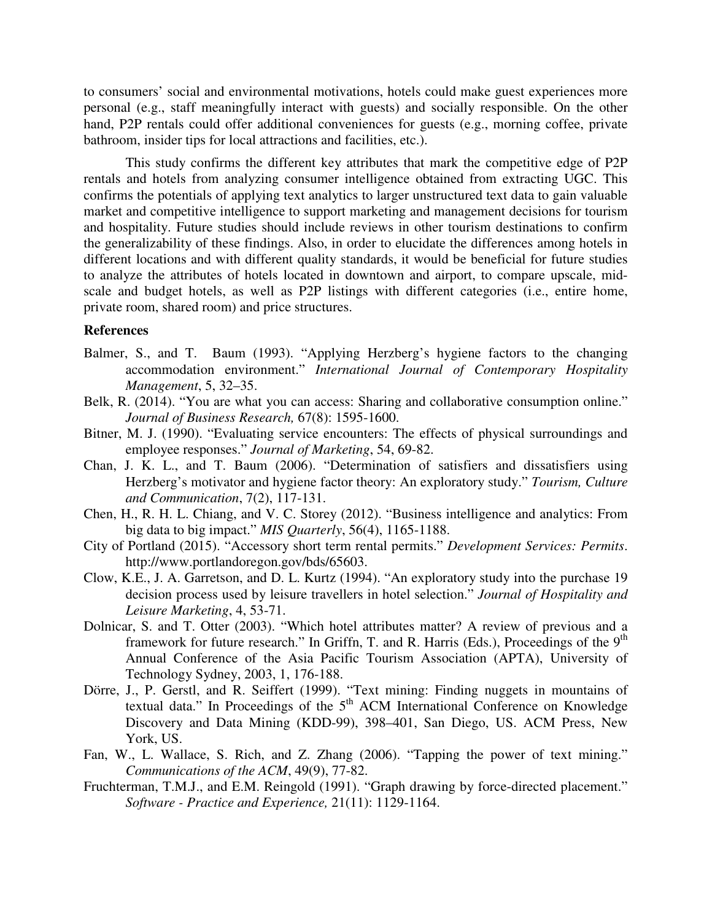to consumers' social and environmental motivations, hotels could make guest experiences more personal (e.g., staff meaningfully interact with guests) and socially responsible. On the other hand, P2P rentals could offer additional conveniences for guests (e.g., morning coffee, private bathroom, insider tips for local attractions and facilities, etc.).

This study confirms the different key attributes that mark the competitive edge of P2P rentals and hotels from analyzing consumer intelligence obtained from extracting UGC. This confirms the potentials of applying text analytics to larger unstructured text data to gain valuable market and competitive intelligence to support marketing and management decisions for tourism and hospitality. Future studies should include reviews in other tourism destinations to confirm the generalizability of these findings. Also, in order to elucidate the differences among hotels in different locations and with different quality standards, it would be beneficial for future studies to analyze the attributes of hotels located in downtown and airport, to compare upscale, midscale and budget hotels, as well as P2P listings with different categories (i.e., entire home, private room, shared room) and price structures.

#### **References**

- Balmer, S., and T. Baum (1993). "Applying Herzberg's hygiene factors to the changing accommodation environment." *International Journal of Contemporary Hospitality Management*, 5, 32–35.
- Belk, R. (2014). "You are what you can access: Sharing and collaborative consumption online." *Journal of Business Research,* 67(8): 1595-1600.
- Bitner, M. J. (1990). "Evaluating service encounters: The effects of physical surroundings and employee responses." *Journal of Marketing*, 54, 69-82.
- Chan, J. K. L., and T. Baum (2006). "Determination of satisfiers and dissatisfiers using Herzberg's motivator and hygiene factor theory: An exploratory study." *Tourism, Culture and Communication*, 7(2), 117-131.
- Chen, H., R. H. L. Chiang, and V. C. Storey (2012). "Business intelligence and analytics: From big data to big impact." *MIS Quarterly*, 56(4), 1165-1188.
- City of Portland (2015). "Accessory short term rental permits." *Development Services: Permits*. http://www.portlandoregon.gov/bds/65603.
- Clow, K.E., J. A. Garretson, and D. L. Kurtz (1994). "An exploratory study into the purchase 19 decision process used by leisure travellers in hotel selection." *Journal of Hospitality and Leisure Marketing*, 4, 53-71.
- Dolnicar, S. and T. Otter (2003). "Which hotel attributes matter? A review of previous and a framework for future research." In Griffn, T. and R. Harris (Eds.), Proceedings of the  $9<sup>th</sup>$ Annual Conference of the Asia Pacific Tourism Association (APTA), University of Technology Sydney, 2003, 1, 176-188.
- Dörre, J., P. Gerstl, and R. Seiffert (1999). "Text mining: Finding nuggets in mountains of textual data." In Proceedings of the 5<sup>th</sup> ACM International Conference on Knowledge Discovery and Data Mining (KDD-99), 398–401, San Diego, US. ACM Press, New York, US.
- Fan, W., L. Wallace, S. Rich, and Z. Zhang (2006). "Tapping the power of text mining." *Communications of the ACM*, 49(9), 77-82.
- Fruchterman, T.M.J., and E.M. Reingold (1991). "Graph drawing by force-directed placement." *Software - Practice and Experience,* 21(11): 1129-1164.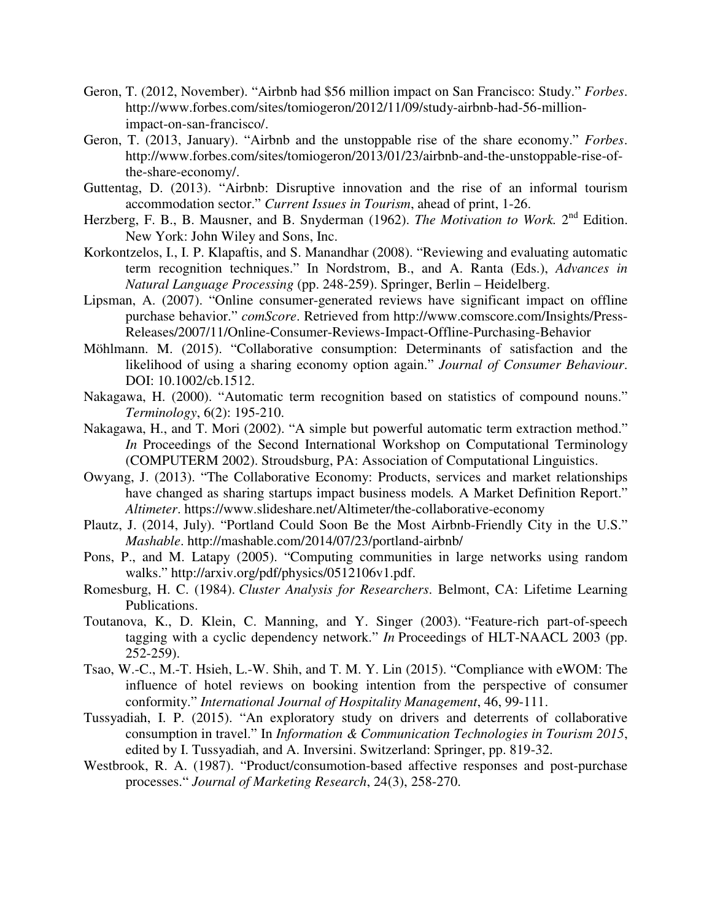- Geron, T. (2012, November). "Airbnb had \$56 million impact on San Francisco: Study." *Forbes*. http://www.forbes.com/sites/tomiogeron/2012/11/09/study-airbnb-had-56-millionimpact-on-san-francisco/.
- Geron, T. (2013, January). "Airbnb and the unstoppable rise of the share economy." *Forbes*. http://www.forbes.com/sites/tomiogeron/2013/01/23/airbnb-and-the-unstoppable-rise-ofthe-share-economy/.
- Guttentag, D. (2013). "Airbnb: Disruptive innovation and the rise of an informal tourism accommodation sector." *Current Issues in Tourism*, ahead of print, 1-26.
- Herzberg, F. B., B. Mausner, and B. Snyderman (1962). *The Motivation to Work*. 2<sup>nd</sup> Edition. New York: John Wiley and Sons, Inc.
- Korkontzelos, I., I. P. Klapaftis, and S. Manandhar (2008). "Reviewing and evaluating automatic term recognition techniques." In Nordstrom, B., and A. Ranta (Eds.), *Advances in Natural Language Processing* (pp. 248-259). Springer, Berlin – Heidelberg.
- Lipsman, A. (2007). "Online consumer-generated reviews have significant impact on offline purchase behavior." *comScore*. Retrieved from http://www.comscore.com/Insights/Press-Releases/2007/11/Online-Consumer-Reviews-Impact-Offline-Purchasing-Behavior
- Möhlmann. M. (2015). "Collaborative consumption: Determinants of satisfaction and the likelihood of using a sharing economy option again." *Journal of Consumer Behaviour*. DOI: 10.1002/cb.1512.
- Nakagawa, H. (2000). "Automatic term recognition based on statistics of compound nouns." *Terminology*, 6(2): 195-210.
- Nakagawa, H., and T. Mori (2002). "A simple but powerful automatic term extraction method." *In* Proceedings of the Second International Workshop on Computational Terminology (COMPUTERM 2002). Stroudsburg, PA: Association of Computational Linguistics.
- Owyang, J. (2013). "The Collaborative Economy: Products, services and market relationships have changed as sharing startups impact business models*.* A Market Definition Report." *Altimeter*. https://www.slideshare.net/Altimeter/the-collaborative-economy
- Plautz, J. (2014, July). "Portland Could Soon Be the Most Airbnb-Friendly City in the U.S." *Mashable*. http://mashable.com/2014/07/23/portland-airbnb/
- Pons, P., and M. Latapy (2005). "Computing communities in large networks using random walks." http://arxiv.org/pdf/physics/0512106v1.pdf.
- Romesburg, H. C. (1984). *Cluster Analysis for Researchers*. Belmont, CA: Lifetime Learning Publications.
- Toutanova, K., D. Klein, C. Manning, and Y. Singer (2003). "Feature-rich part-of-speech tagging with a cyclic dependency network." *In* Proceedings of HLT-NAACL 2003 (pp. 252-259).
- Tsao, W.-C., M.-T. Hsieh, L.-W. Shih, and T. M. Y. Lin (2015). "Compliance with eWOM: The influence of hotel reviews on booking intention from the perspective of consumer conformity." *International Journal of Hospitality Management*, 46, 99-111.
- Tussyadiah, I. P. (2015). "An exploratory study on drivers and deterrents of collaborative consumption in travel." In *Information & Communication Technologies in Tourism 2015*, edited by I. Tussyadiah, and A. Inversini. Switzerland: Springer, pp. 819-32.
- Westbrook, R. A. (1987). "Product/consumotion-based affective responses and post-purchase processes." *Journal of Marketing Research*, 24(3), 258-270.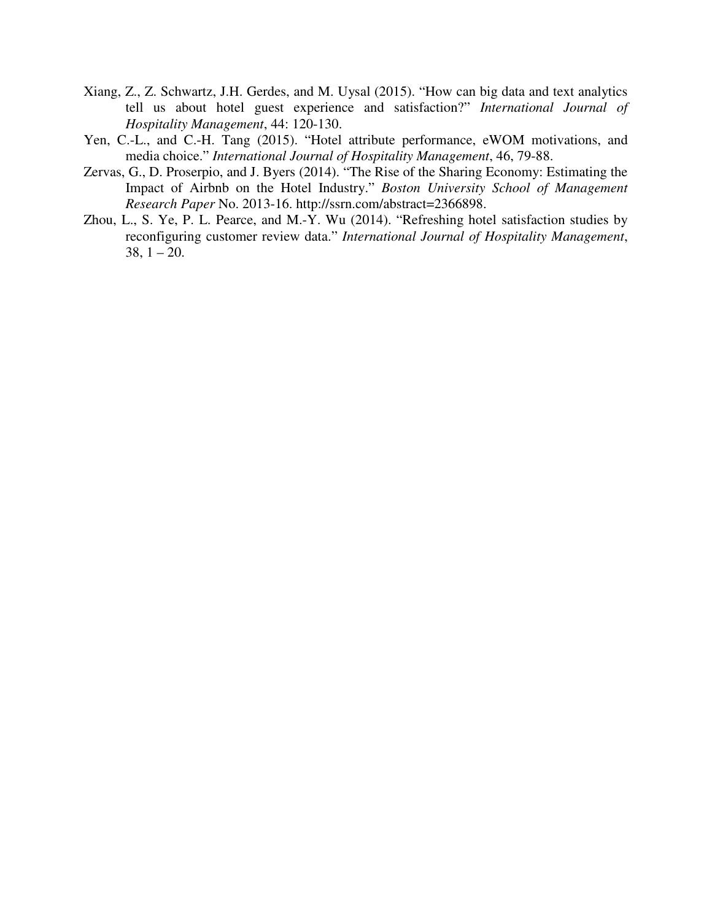- Xiang, Z., Z. Schwartz, J.H. Gerdes, and M. Uysal (2015). "How can big data and text analytics tell us about hotel guest experience and satisfaction?" *International Journal of Hospitality Management*, 44: 120-130.
- Yen, C.-L., and C.-H. Tang (2015). "Hotel attribute performance, eWOM motivations, and media choice." *International Journal of Hospitality Management*, 46, 79-88.
- Zervas, G., D. Proserpio, and J. Byers (2014). "The Rise of the Sharing Economy: Estimating the Impact of Airbnb on the Hotel Industry." *Boston University School of Management Research Paper* No. 2013-16. http://ssrn.com/abstract=2366898.
- Zhou, L., S. Ye, P. L. Pearce, and M.-Y. Wu (2014). "Refreshing hotel satisfaction studies by reconfiguring customer review data." *International Journal of Hospitality Management*,  $38, 1 - 20.$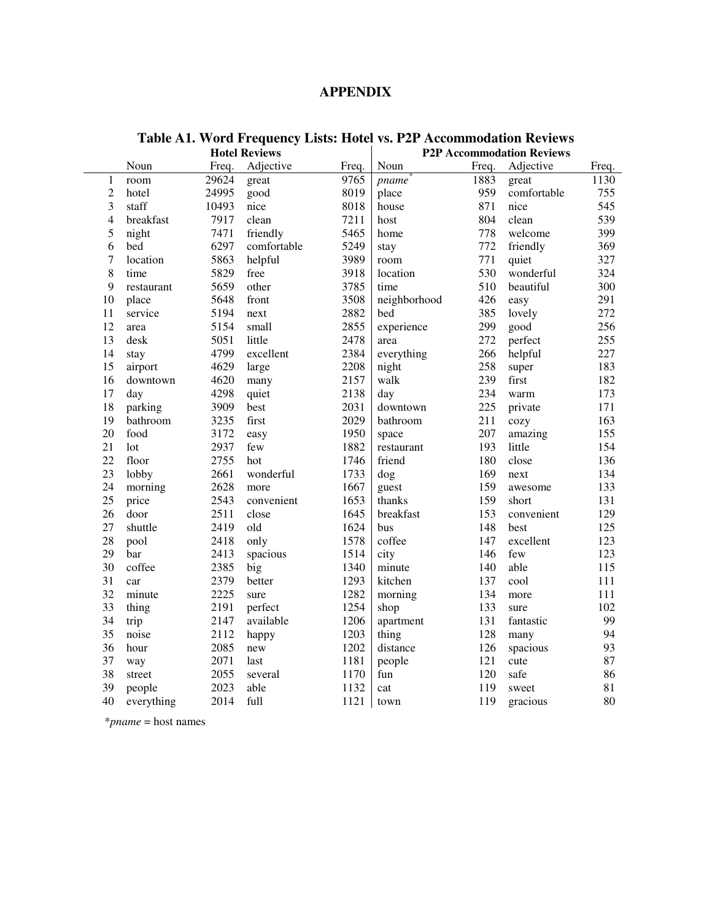## **APPENDIX**

|                | <b>Hotel Reviews</b> |       |             | <b>P2P Accommodation Reviews</b> |              |       |             |       |
|----------------|----------------------|-------|-------------|----------------------------------|--------------|-------|-------------|-------|
|                | Noun                 | Freq. | Adjective   | Freq.                            | Noun         | Freq. | Adjective   | Freq. |
| 1              | room                 | 29624 | great       | 9765                             | pname        | 1883  | great       | 1130  |
| $\overline{c}$ | hotel                | 24995 | good        | 8019                             | place        | 959   | comfortable | 755   |
| 3              | staff                | 10493 | nice        | 8018                             | house        | 871   | nice        | 545   |
| $\overline{4}$ | breakfast            | 7917  | clean       | 7211                             | host         | 804   | clean       | 539   |
| 5              | night                | 7471  | friendly    | 5465                             | home         | 778   | welcome     | 399   |
| 6              | bed                  | 6297  | comfortable | 5249                             | stay         | 772   | friendly    | 369   |
| $\overline{7}$ | location             | 5863  | helpful     | 3989                             | room         | 771   | quiet       | 327   |
| 8              | time                 | 5829  | free        | 3918                             | location     | 530   | wonderful   | 324   |
| 9              | restaurant           | 5659  | other       | 3785                             | time         | 510   | beautiful   | 300   |
| 10             | place                | 5648  | front       | 3508                             | neighborhood | 426   | easy        | 291   |
| 11             | service              | 5194  | next        | 2882                             | bed          | 385   | lovely      | 272   |
| 12             | area                 | 5154  | small       | 2855                             | experience   | 299   | good        | 256   |
| 13             | desk                 | 5051  | little      | 2478                             | area         | 272   | perfect     | 255   |
| 14             | stay                 | 4799  | excellent   | 2384                             | everything   | 266   | helpful     | 227   |
| 15             | airport              | 4629  | large       | 2208                             | night        | 258   | super       | 183   |
| 16             | downtown             | 4620  | many        | 2157                             | walk         | 239   | first       | 182   |
| 17             | day                  | 4298  | quiet       | 2138                             | day          | 234   | warm        | 173   |
| 18             | parking              | 3909  | best        | 2031                             | downtown     | 225   | private     | 171   |
| 19             | bathroom             | 3235  | first       | 2029                             | bathroom     | 211   | cozy        | 163   |
| 20             | food                 | 3172  | easy        | 1950                             | space        | 207   | amazing     | 155   |
| 21             | lot                  | 2937  | few         | 1882                             | restaurant   | 193   | little      | 154   |
| 22             | floor                | 2755  | hot         | 1746                             | friend       | 180   | close       | 136   |
| 23             | lobby                | 2661  | wonderful   | 1733                             | dog          | 169   | next        | 134   |
| 24             | morning              | 2628  | more        | 1667                             | guest        | 159   | awesome     | 133   |
| 25             | price                | 2543  | convenient  | 1653                             | thanks       | 159   | short       | 131   |
| 26             | door                 | 2511  | close       | 1645                             | breakfast    | 153   | convenient  | 129   |
| 27             | shuttle              | 2419  | old         | 1624                             | bus          | 148   | best        | 125   |
| 28             | pool                 | 2418  | only        | 1578                             | coffee       | 147   | excellent   | 123   |
| 29             | bar                  | 2413  | spacious    | 1514                             | city         | 146   | few         | 123   |
| 30             | coffee               | 2385  | big         | 1340                             | minute       | 140   | able        | 115   |
| 31             | car                  | 2379  | better      | 1293                             | kitchen      | 137   | cool        | 111   |
| 32             | minute               | 2225  | sure        | 1282                             | morning      | 134   | more        | 111   |
| 33             | thing                | 2191  | perfect     | 1254                             | shop         | 133   | sure        | 102   |
| 34             | trip                 | 2147  | available   | 1206                             | apartment    | 131   | fantastic   | 99    |
| 35             | noise                | 2112  | happy       | 1203                             | thing        | 128   | many        | 94    |
| 36             | hour                 | 2085  | new         | 1202                             | distance     | 126   | spacious    | 93    |
| 37             | way                  | 2071  | last        | 1181                             | people       | 121   | cute        | 87    |
| 38             | street               | 2055  | several     | 1170                             | fun          | 120   | safe        | 86    |
| 39             | people               | 2023  | able        | 1132                             | cat          | 119   | sweet       | 81    |
| 40             | everything           | 2014  | full        | 1121                             | town         | 119   | gracious    | 80    |

## **Table A1. Word Frequency Lists: Hotel vs. P2P Accommodation Reviews**

\**pname* = host names